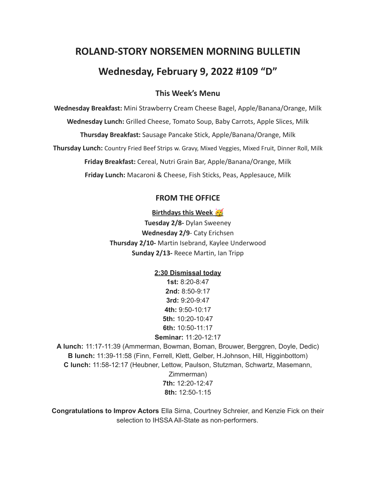# **ROLAND-STORY NORSEMEN MORNING BULLETIN Wednesday, February 9, 2022 #109 "D"**

## **This Week's Menu**

**Wednesday Breakfast:** Mini Strawberry Cream Cheese Bagel, Apple/Banana/Orange, Milk **Wednesday Lunch:** Grilled Cheese, Tomato Soup, Baby Carrots, Apple Slices, Milk **Thursday Breakfast:** Sausage Pancake Stick, Apple/Banana/Orange, Milk **Thursday Lunch:** Country Fried Beef Strips w. Gravy, Mixed Veggies, Mixed Fruit, Dinner Roll, Milk **Friday Breakfast:** Cereal, Nutri Grain Bar, Apple/Banana/Orange, Milk **Friday Lunch:** Macaroni & Cheese, Fish Sticks, Peas, Applesauce, Milk

#### **FROM THE OFFICE**

#### **Birthdays this Week**

**Tuesday 2/8-** Dylan Sweeney **Wednesday 2/9**- Caty Erichsen **Thursday 2/10-** Martin Isebrand, Kaylee Underwood **Sunday 2/13-** Reece Martin, Ian Tripp

#### **2:30 Dismissal today**

**1st:** 8:20-8:47 **2nd:** 8:50-9:17 **3rd:** 9:20-9:47 **4th:** 9:50-10:17 **5th:** 10:20-10:47 **6th:** 10:50-11:17 **Seminar:** 11:20-12:17

**A lunch:** 11:17-11:39 (Ammerman, Bowman, Boman, Brouwer, Berggren, Doyle, Dedic) **B lunch:** 11:39-11:58 (Finn, Ferrell, Klett, Gelber, H.Johnson, Hill, Higginbottom) **C lunch:** 11:58-12:17 (Heubner, Lettow, Paulson, Stutzman, Schwartz, Masemann, Zimmerman)

**7th:** 12:20-12:47 **8th:** 12:50-1:15

**Congratulations to Improv Actors** Ella Sirna, Courtney Schreier, and Kenzie Fick on their selection to IHSSA All-State as non-performers.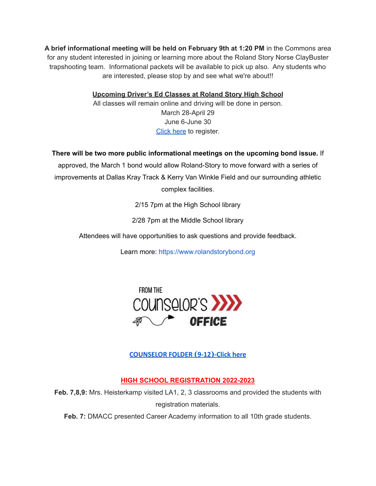**A brief informational meeting will be held on February 9th at 1:20 PM** in the Commons area for any student interested in joining or learning more about the Roland Story Norse ClayBuster trapshooting team. Informational packets will be available to pick up also. Any students who are interested, please stop by and see what we're about!!

**Upcoming Driver's Ed Classes at Roland Story High School**

All classes will remain online and driving will be done in person. March 28-April 29 June 6-June 30 [Click](http://streetsmartsdriversed.com/) here to register.

**There will be two more public informational meetings on the upcoming bond issue.** If

approved, the March 1 bond would allow Roland-Story to move forward with a series of improvements at Dallas Kray Track & Kerry Van Winkle Field and our surrounding athletic complex facilities.

2/15 7pm at the High School library

2/28 7pm at the Middle School library

Attendees will have opportunities to ask questions and provide feedback.

Learn more: [https://www.rolandstorybond.org](https://www.rolandstorybond.org/?fbclid=IwAR3AJHhy8S8KvQsof-Z44UTrIBXDkOZFSdMyUXMovrg0bH3FkvkTprNkFuM)



# **[COUNSELOR FOLDER](https://docs.google.com/document/d/1vmwczNPbDzXe9vFaG5LJMQ7NYDv-i4oQJHybqA65TUc/edit?usp=sharing) (9-12)-Click here**

# **HIGH SCHOOL REGISTRATION 2022-2023**

**Feb. 7,8,9:** Mrs. Heisterkamp visited LA1, 2, 3 classrooms and provided the students with registration materials.

**Feb. 7:** DMACC presented Career Academy information to all 10th grade students.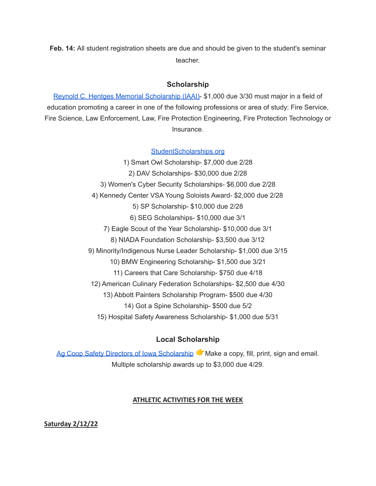**Feb. 14:** All student registration sheets are due and should be given to the student's seminar teacher.

### **Scholarship**

Reynold C. Hentges Memorial [Scholarship](https://drive.google.com/file/d/1hjWI_srze5__tTjHVbJ5z3zd1-S63qlS/view?usp=sharing) (IAAI)- \$1,000 due 3/30 must major in a field of education promoting a career in one of the following professions or area of study: Fire Service, Fire Science, Law Enforcement, Law, Fire Protection Engineering, Fire Protection Technology or Insurance.

[StudentScholarships.org](https://drive.google.com/file/d/1hV3dZAuh9FIeLf132rgQi86QgS7AQzZD/view?usp=sharing)

1) Smart Owl Scholarship- \$7,000 due 2/28 2) DAV Scholarships- \$30,000 due 2/28 3) Women's Cyber Security Scholarships- \$6,000 due 2/28 4) Kennedy Center VSA Young Soloists Award- \$2,000 due 2/28 5) SP Scholarship- \$10,000 due 2/28 6) SEG Scholarships- \$10,000 due 3/1 7) Eagle Scout of the Year Scholarship- \$10,000 due 3/1 8) NIADA Foundation Scholarship- \$3,500 due 3/12 9) Minority/Indigenous Nurse Leader Scholarship- \$1,000 due 3/15 10) BMW Engineering Scholarship- \$1,500 due 3/21 11) Careers that Care Scholarship- \$750 due 4/18 12) American Culinary Federation Scholarships- \$2,500 due 4/30 13) Abbott Painters Scholarship Program- \$500 due 4/30 14) Got a Spine Scholarship- \$500 due 5/2 15) Hospital Safety Awareness Scholarship- \$1,000 due 5/31

# **Local Scholarship**

Ag Coop Safety Directors of Iowa [Scholarship](https://drive.google.com/file/d/1wX3l1X88nHo4DZaVPAlq49FzsUtMJSWh/view?usp=sharing) Make a copy, fill, print, sign and email. Multiple scholarship awards up to \$3,000 due 4/29.

#### **ATHLETIC ACTIVITIES FOR THE WEEK**

**Saturday 2/12/22**